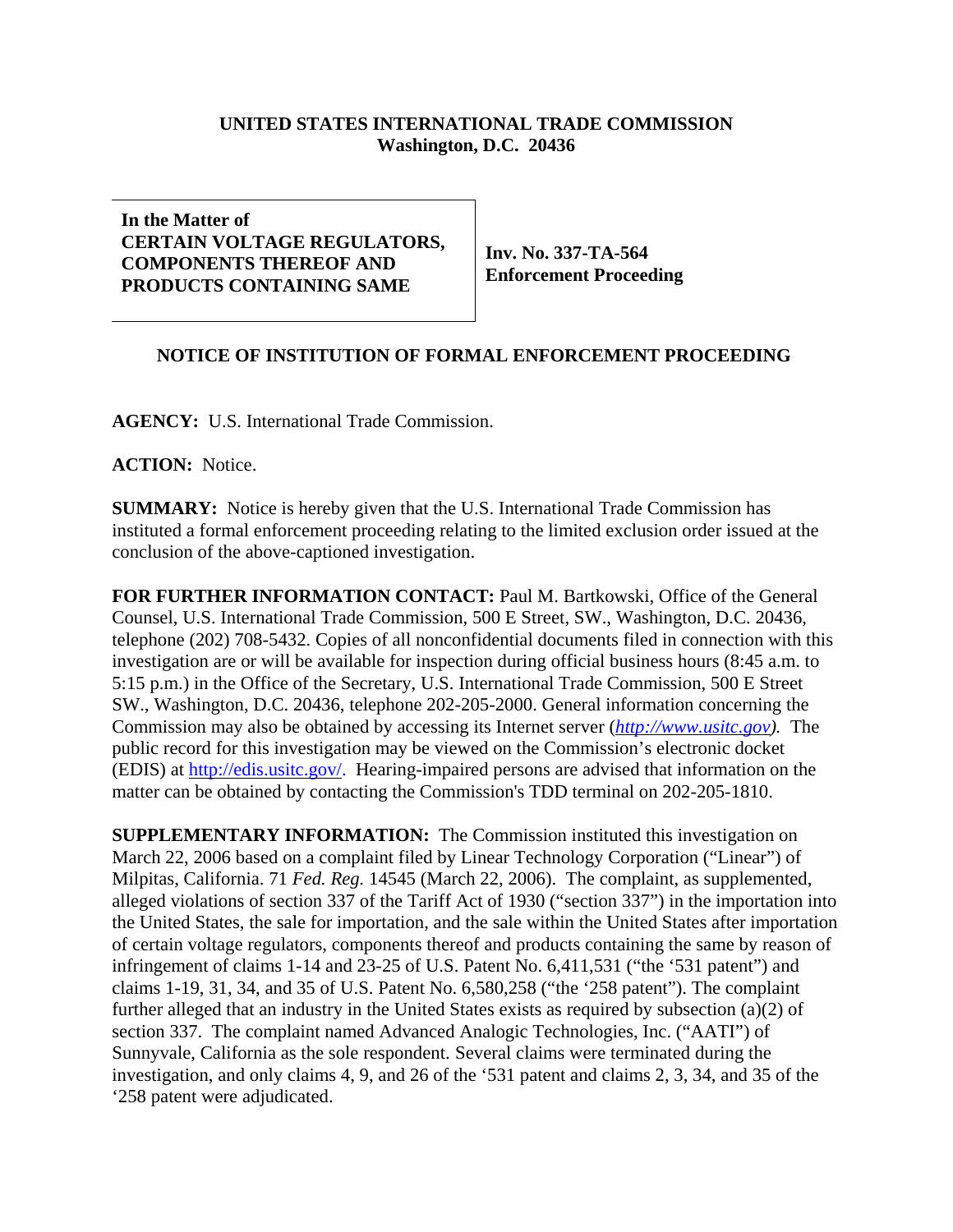## **UNITED STATES INTERNATIONAL TRADE COMMISSION Washington, D.C. 20436**

## **In the Matter of CERTAIN VOLTAGE REGULATORS, COMPONENTS THEREOF AND PRODUCTS CONTAINING SAME**

**Inv. No. 337-TA-564 Enforcement Proceeding**

## **NOTICE OF INSTITUTION OF FORMAL ENFORCEMENT PROCEEDING**

**AGENCY:** U.S. International Trade Commission.

**ACTION:** Notice.

**SUMMARY:** Notice is hereby given that the U.S. International Trade Commission has instituted a formal enforcement proceeding relating to the limited exclusion order issued at the conclusion of the above-captioned investigation.

**FOR FURTHER INFORMATION CONTACT:** Paul M. Bartkowski, Office of the General Counsel, U.S. International Trade Commission, 500 E Street, SW., Washington, D.C. 20436, telephone (202) 708-5432. Copies of all nonconfidential documents filed in connection with this investigation are or will be available for inspection during official business hours (8:45 a.m. to 5:15 p.m.) in the Office of the Secretary, U.S. International Trade Commission, 500 E Street SW., Washington, D.C. 20436, telephone 202-205-2000. General information concerning the Commission may also be obtained by accessing its Internet server (*http://www.usitc.gov).* The public record for this investigation may be viewed on the Commission's electronic docket (EDIS) at http://edis.usitc.gov/. Hearing-impaired persons are advised that information on the matter can be obtained by contacting the Commission's TDD terminal on 202-205-1810.

**SUPPLEMENTARY INFORMATION:** The Commission instituted this investigation on March 22, 2006 based on a complaint filed by Linear Technology Corporation ("Linear") of Milpitas, California. 71 *Fed. Reg.* 14545 (March 22, 2006). The complaint, as supplemented, alleged violations of section 337 of the Tariff Act of 1930 ("section 337") in the importation into the United States, the sale for importation, and the sale within the United States after importation of certain voltage regulators, components thereof and products containing the same by reason of infringement of claims 1-14 and 23-25 of U.S. Patent No. 6,411,531 ("the '531 patent") and claims 1-19, 31, 34, and 35 of U.S. Patent No. 6,580,258 ("the '258 patent"). The complaint further alleged that an industry in the United States exists as required by subsection (a)(2) of section 337. The complaint named Advanced Analogic Technologies, Inc. ("AATI") of Sunnyvale, California as the sole respondent. Several claims were terminated during the investigation, and only claims 4, 9, and 26 of the '531 patent and claims 2, 3, 34, and 35 of the '258 patent were adjudicated.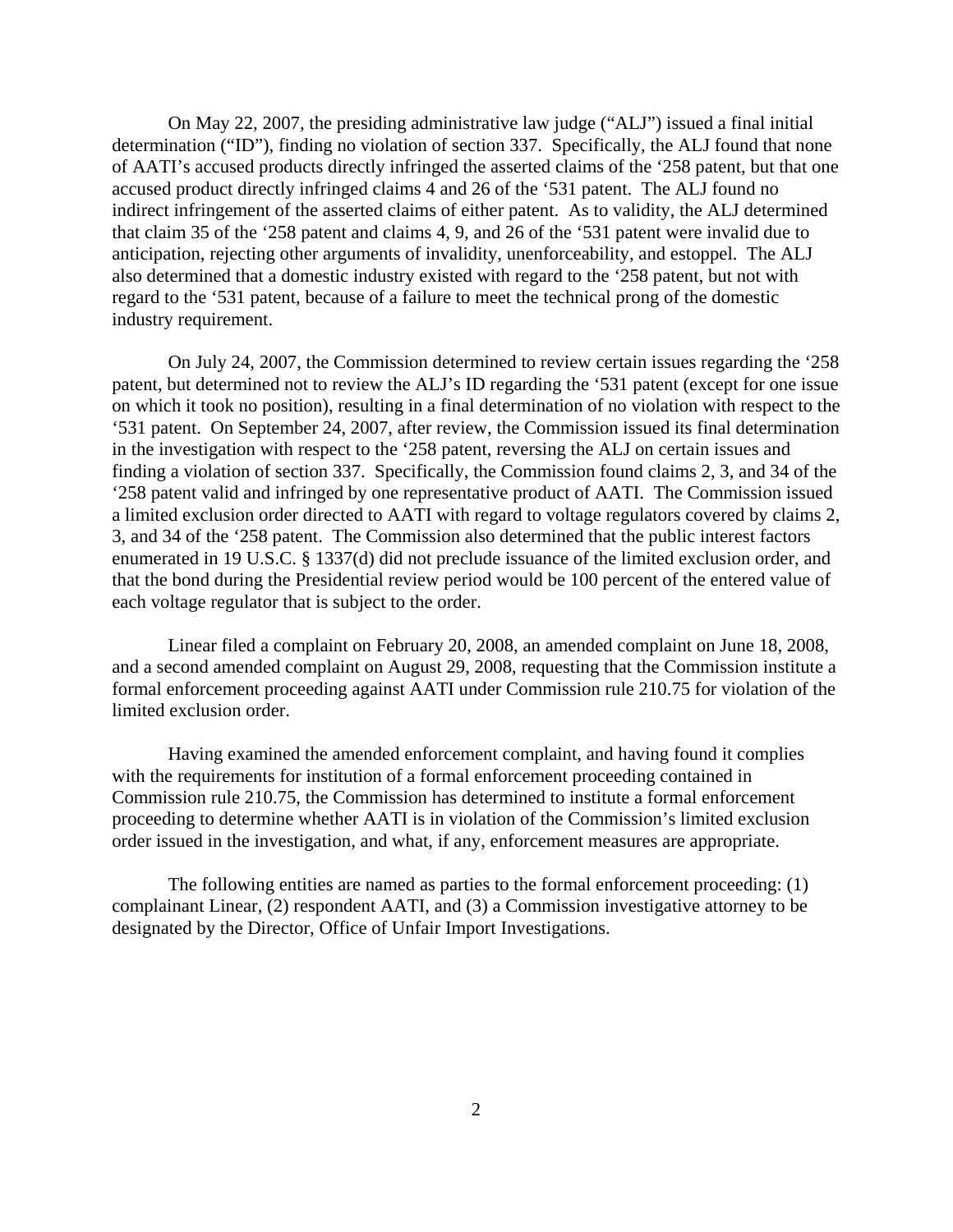On May 22, 2007, the presiding administrative law judge ("ALJ") issued a final initial determination ("ID"), finding no violation of section 337. Specifically, the ALJ found that none of AATI's accused products directly infringed the asserted claims of the '258 patent, but that one accused product directly infringed claims 4 and 26 of the '531 patent. The ALJ found no indirect infringement of the asserted claims of either patent. As to validity, the ALJ determined that claim 35 of the '258 patent and claims 4, 9, and 26 of the '531 patent were invalid due to anticipation, rejecting other arguments of invalidity, unenforceability, and estoppel. The ALJ also determined that a domestic industry existed with regard to the '258 patent, but not with regard to the '531 patent, because of a failure to meet the technical prong of the domestic industry requirement.

On July 24, 2007, the Commission determined to review certain issues regarding the '258 patent, but determined not to review the ALJ's ID regarding the '531 patent (except for one issue on which it took no position), resulting in a final determination of no violation with respect to the '531 patent. On September 24, 2007, after review, the Commission issued its final determination in the investigation with respect to the '258 patent, reversing the ALJ on certain issues and finding a violation of section 337. Specifically, the Commission found claims 2, 3, and 34 of the '258 patent valid and infringed by one representative product of AATI. The Commission issued a limited exclusion order directed to AATI with regard to voltage regulators covered by claims 2, 3, and 34 of the '258 patent. The Commission also determined that the public interest factors enumerated in 19 U.S.C. § 1337(d) did not preclude issuance of the limited exclusion order, and that the bond during the Presidential review period would be 100 percent of the entered value of each voltage regulator that is subject to the order.

Linear filed a complaint on February 20, 2008, an amended complaint on June 18, 2008, and a second amended complaint on August 29, 2008, requesting that the Commission institute a formal enforcement proceeding against AATI under Commission rule 210.75 for violation of the limited exclusion order.

Having examined the amended enforcement complaint, and having found it complies with the requirements for institution of a formal enforcement proceeding contained in Commission rule 210.75, the Commission has determined to institute a formal enforcement proceeding to determine whether AATI is in violation of the Commission's limited exclusion order issued in the investigation, and what, if any, enforcement measures are appropriate.

The following entities are named as parties to the formal enforcement proceeding: (1) complainant Linear, (2) respondent AATI, and (3) a Commission investigative attorney to be designated by the Director, Office of Unfair Import Investigations.